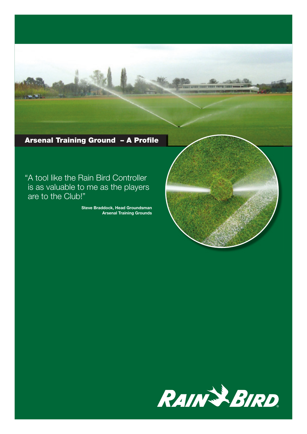

# Arsenal Training Ground - A Profile

"A tool like the Rain Bird Controller is as valuable to me as the players are to the Club!"

> Steve Braddock, Head Groundsman Arsenal Training Grounds



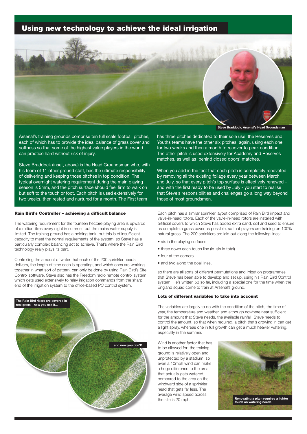## **Using new technology to achieve the ideal irrigation**



Arsenal's training grounds comprise ten full scale football pitches, each of which has to provide the ideal balance of grass cover and softness so that some of the highest value players in the world can practice hard without risk of injury.

Steve Braddock (inset, above) is the Head Groundsman who, with his team of 11 other ground staff, has the ultimate responsibility of delivering and keeping those pitches in top condition. The typical overnight watering requirement during the main playing season is 5mm, and the pitch surface should feel firm to walk on but soft to the touch or foot. Each pitch is used extensively for two weeks, then rested and nurtured for a month. The First team

### **Rain Bird's Controller - achieving a difficult balance**

The watering requirement for the fourteen hectare playing area is upwards of a million litres every night in summer, but the mains water supply is limited. The training ground has a holding tank, but this is of insufficient capacity to meet the normal requirements of the system, so Steve has a particularly complex balancing act to achieve. That's where the Rain Bird technology really plays its part.

Controlling the amount of water that each of the 200 sprinkler heads delivers, the length of time each is operating, and which ones are working together in what sort of pattern, can only be done by using Rain Bird's Site Control software. Steve also has the Freedom radio remote control system, which gets used extensively to relay irrigation commands from the sharp end of the irrigation system to the office-based PC control system.



**Steve Braddock, Arsenal's Head Groundsman**

has three pitches dedicated to their sole use; the Reserves and Youths teams have the other six pitches, again, using each one for two weeks and then a month to recover to peak condition. The other pitch is used extensively for Academy and Reserves matches, as well as 'behind closed doors' matches.

When you add in the fact that each pitch is completely renovated by removing all the existing foliage every year between March and July, so that every pitch's top surface is effectively renewed – and with the first ready to be used by July - you start to realise that Steve's responsibilities and challenges go a long way beyond those of most groundsmen.

Each pitch has a similar sprinkler layout comprised of Rain Bird impact and valve-in-head rotors. Each of the vavle-in-head rotors are installed with artificial covers to which Steve has added extra sand, soil and seed to ensure as complete a grass cover as possible, so that players are training on 100% natural grass. The 200 sprinklers are laid out along the following lines:

- six in the playing surfaces
- three down each touch line (ie. six in total)
- four at the corners
- and two along the goal lines,

so there are all sorts of different permutations and irrigation programmes that Steve has been able to develop and set up, using his Rain Bird Control system. He's written 53 so far, including a special one for the time when the England squad come to train at Arsenal's ground.

### **Lots of different variables to take into account**

The variables are largely to do with the condition of the pitch, the time of year, the temperature and weather, and although nowhere near sufficient for the amount that Steve needs, the available rainfall. Steve needs to control the amount, so that when required, a pitch that's growing in can get a light spray, whereas one in full growth can get a much heavier watering, especially in the summer.

Wind is another factor that has to be allowed for; the training ground is relatively open and unprotected by a stadium, so even a 10mph wind can make a huge difference to the area that actually gets watered, compared to the area on the windward side of a sprinkler head that gets far less. The average wind speed across the site is 20 mph.

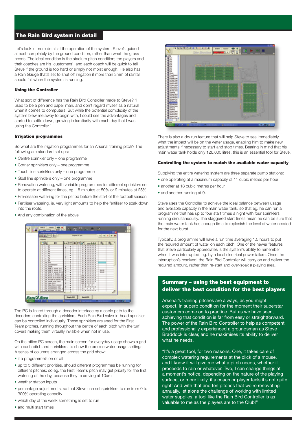## **The Rain Bird system in detail**

Let's look in more detail at the operation of the system. Steve's guided almost completely by the ground condition, rather than what the grass needs. The ideal condition is the stadium pitch condition; the players and their coaches are his 'customers', and each coach will be quick to tell Steve if the ground is too hard or simply not moist enough. He also has a Rain Gauge that's set to shut off irrigation if more than 3mm of rainfall should fall when the system is running.

## **Using the Controller**

What sort of difference has the Rain Bird Controller made to Steve? "I used to be a pen and paper man, and don't regard myself as a natural when it comes to computers! But while the potential complexity of the system blew me away to begin with, I could see the advantages and started to settle down, growing in familiarity with each day that I was using the Controller."

#### **Irrigation programmes**

So what are the irrigation programmes for an Arsenal training pitch? The following are standard set ups:

- Centre sprinkler only one programme
- Corner sprinklers only one programme
- Touch line sprinklers only one programme
- Goal line sprinklers only one programme
- Renovation watering, with variable programmes for different sprinklers set to operate at different times, eg. 18 minutes at 50% or 9 minutes at 25%
- Pre-season watering for the period before the start of the football season
- Fertiliser watering, ie. very light amounts to help the fertiliser to soak down into the roots.
- And any combination of the above!



decoders controlling the sprinklers. Each Rain Bird valve-in-head sprinkler The PC is linked through a decoder interface by a cable path to the can be controlled individually. These sprinklers are used for the First Team pitches, running throughout the centre of each pitch with the turf covers making them virtually invisible when not in use.

On the office PC screen, the main screen for everyday usage shows a grid with each pitch and sprinklers, to show the precise water usage settings. A series of columns arranged across the grid show:

- if a programme's on or off
- up to 5 different priorities, should different programmes be running for different pitches; so eq. the First Team's pitch may get priority for the first watering of the day, because they're arriving at 10am
- weather station inputs
- percentage adjustments, so that Steve can set sprinklers to run from 0 to 300% operating capacity
- which day of the week something is set to run
- and multi start times



There is also a dry run feature that will help Steve to see immediately what the impact will be on the water usage, enabling him to make new adjustments if necessary to start and stop times. Bearing in mind that his main water tank holds only 126,000 litres, this is an essential tool for Steve.

#### **Controlling the system to match the available water capacity**

Supplying the entire watering system are three separate pump stations:

- one operating at a maximum capacity of 11 cubic metres per hour
- another at 18 cubic metres per hour
- and another running at 9.

Steve uses the Controller to achieve the ideal balance between usage and available capacity in the main water tank, so that eg. he can run a programme that has up to four start times a night with four sprinklers running simultaneously. The staggered start times mean he can be sure that the main water tank has enough time to replenish the level of water needed for the next burst.

Typically, a programme will have a run time averaging 1.5 hours to put the required amount of water on each pitch. One of the newer features that Steve particularly appreciates is the system's ability to remember when it was interrupted, eg. by a local electrical power failure. Once the interruption's resolved, the Rain Bird Controller will carry on and deliver the required amount, rather than re-start and over-soak a playing area.

## **Summary – using the best equipment to deliver the best condition for the best players**

Arsenal's training pitches are always, as you might expect, in superb condition for the moment their superstar customers come on to practice. But as we have seen, achieving that condition is far from easy or straightforward. The power of the Rain Bird Controller to help as competent and professionally experienced a groundsman as Steve Braddock is clear, and he maximises its ability to deliver what he needs.

"It's a great tool, for two reasons. One, it takes care of complex watering requirements at the click of a mouse, and I know it will give me what a pitch needs, whether it proceeds to rain or whatever. Two, I can change things at a moment's notice, depending on the nature of the playing surface, or more likely, if a coach or player feels it's not quite right! And with that and ten pitches that we're renovating annually, let alone the challenge of working with limited water supplies, a tool like the Rain Bird Controller is as valuable to me as the players are to the Club!"